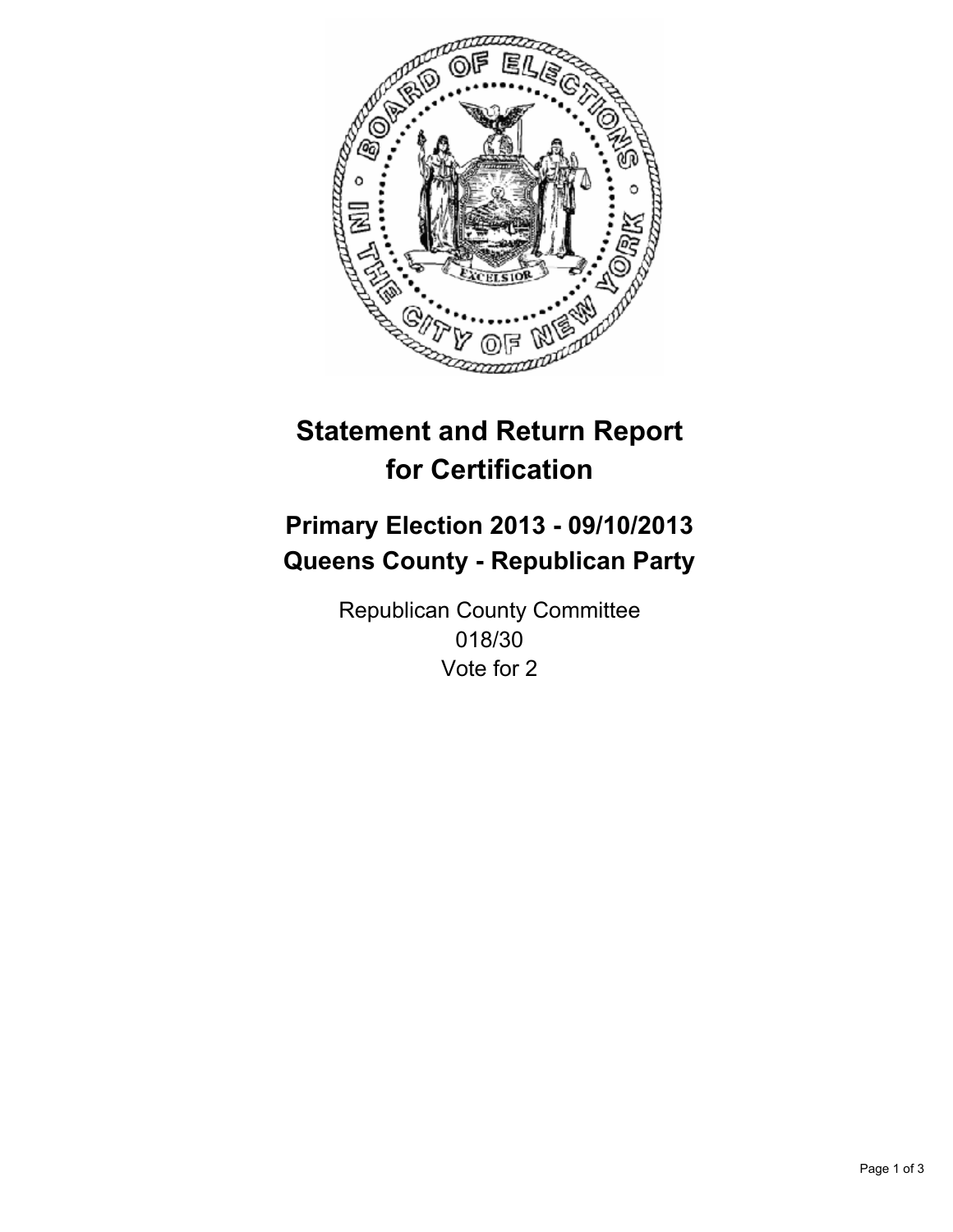

# **Statement and Return Report for Certification**

# **Primary Election 2013 - 09/10/2013 Queens County - Republican Party**

Republican County Committee 018/30 Vote for 2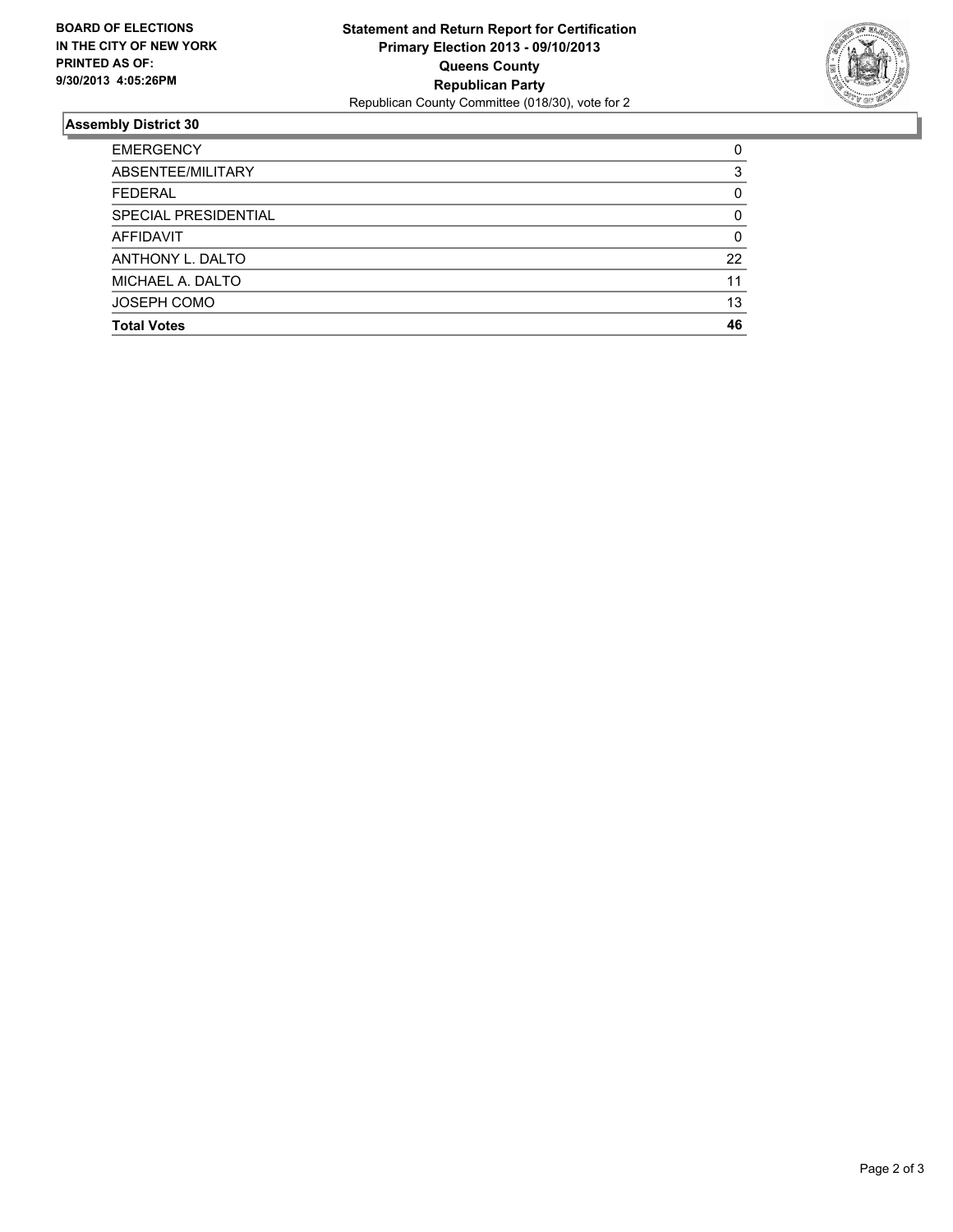

## **Assembly District 30**

| <b>EMERGENCY</b>     | 0  |
|----------------------|----|
| ABSENTEE/MILITARY    | 3  |
| <b>FEDERAL</b>       | 0  |
| SPECIAL PRESIDENTIAL | 0  |
| <b>AFFIDAVIT</b>     | 0  |
| ANTHONY L. DALTO     | 22 |
| MICHAEL A. DALTO     | 11 |
| <b>JOSEPH COMO</b>   | 13 |
| <b>Total Votes</b>   | 46 |